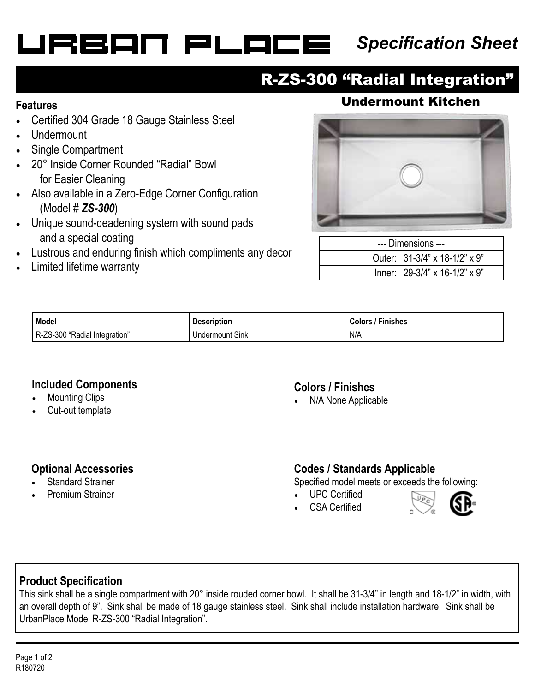# URBAN PLACE

# *Specification Sheet*

## R-ZS-300 "Radial Integration"

- Certified 304 Grade 18 Gauge Stainless Steel
- Undermount
- Single Compartment
- 20° Inside Corner Rounded "Radial" Bowl for Easier Cleaning
- Also available in a Zero-Edge Corner Configuration (Model # *ZS-300*)
- Unique sound-deadening system with sound pads and a special coating
- Lustrous and enduring finish which compliments any decor
- Limited lifetime warranty

### **Features** Undermount Kitchen



| --- Dimensions --- |                                     |  |
|--------------------|-------------------------------------|--|
|                    | Outer: 31-3/4" x 18-1/2" x 9"       |  |
|                    | Inner: $29-3/4$ " x 16-1/2" x $9$ " |  |

| Model                               | .<br><b>Description</b> | - - -<br>Finishes<br><b>Colors</b> |
|-------------------------------------|-------------------------|------------------------------------|
| R-ZS-300<br>Radial<br>. Integration | <b>Undermount Sink</b>  | N/A                                |

#### **Included Components**

- **Mounting Clips**
- Cut-out template

#### **Colors / Finishes**

• N/A None Applicable

#### **Optional Accessories**

- **Standard Strainer**
- Premium Strainer

#### **Codes / Standards Applicable**

Specified model meets or exceeds the following:

- UPC Certified
- CSA Certified



#### **Product Specification**

This sink shall be a single compartment with 20° inside rouded corner bowl. It shall be 31-3/4" in length and 18-1/2" in width, with an overall depth of 9". Sink shall be made of 18 gauge stainless steel. Sink shall include installation hardware. Sink shall be UrbanPlace Model R-ZS-300 "Radial Integration".